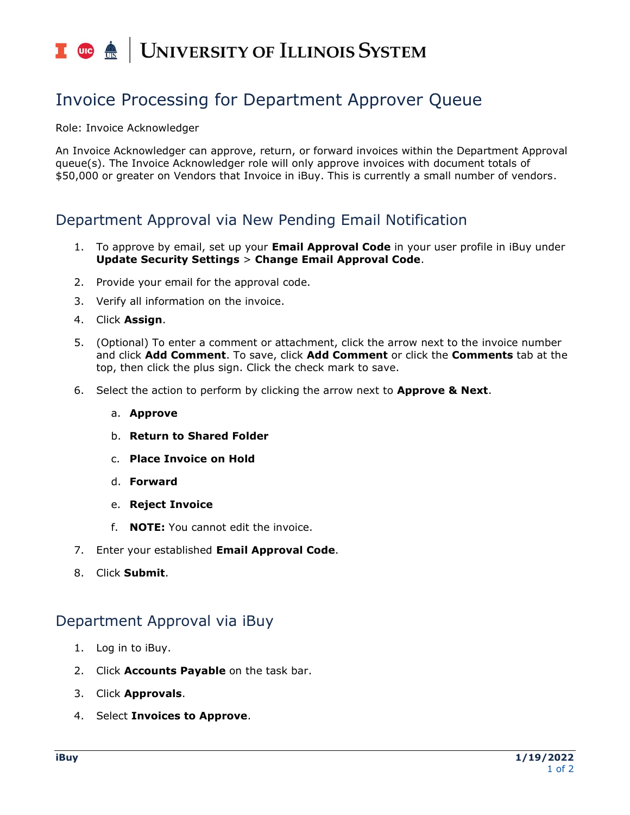# I **C**  $\triangleq$  UNIVERSITY OF ILLINOIS SYSTEM

## Invoice Processing for Department Approver Queue

Role: Invoice Acknowledger

An Invoice Acknowledger can approve, return, or forward invoices within the Department Approval queue(s). The Invoice Acknowledger role will only approve invoices with document totals of \$50,000 or greater on Vendors that Invoice in iBuy. This is currently a small number of vendors.

### Department Approval via New Pending Email Notification

- 1. To approve by email, set up your **Email Approval Code** in your user profile in iBuy under **Update Security Settings** > **Change Email Approval Code**.
- 2. Provide your email for the approval code.
- 3. Verify all information on the invoice.
- 4. Click **Assign**.
- 5. (Optional) To enter a comment or attachment, click the arrow next to the invoice number and click **Add Comment**. To save, click **Add Comment** or click the **Comments** tab at the top, then click the plus sign. Click the check mark to save.
- 6. Select the action to perform by clicking the arrow next to **Approve & Next**.
	- a. **Approve**
	- b. **Return to Shared Folder**
	- c. **Place Invoice on Hold**
	- d. **Forward**
	- e. **Reject Invoice**
	- f. **NOTE:** You cannot edit the invoice.
- 7. Enter your established **Email Approval Code**.
- 8. Click **Submit**.

### Department Approval via iBuy

- 1. Log in to iBuy.
- 2. Click **Accounts Payable** on the task bar.
- 3. Click **Approvals**.
- 4. Select **Invoices to Approve**.